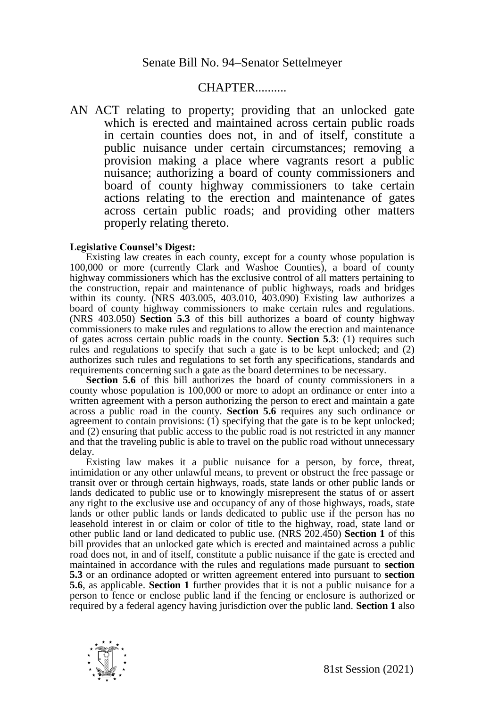## CHAPTER..........

AN ACT relating to property; providing that an unlocked gate which is erected and maintained across certain public roads in certain counties does not, in and of itself, constitute a public nuisance under certain circumstances; removing a provision making a place where vagrants resort a public nuisance; authorizing a board of county commissioners and board of county highway commissioners to take certain actions relating to the erection and maintenance of gates across certain public roads; and providing other matters properly relating thereto.

## **Legislative Counsel's Digest:**

Existing law creates in each county, except for a county whose population is 100,000 or more (currently Clark and Washoe Counties), a board of county highway commissioners which has the exclusive control of all matters pertaining to the construction, repair and maintenance of public highways, roads and bridges within its county. (NRS 403.005, 403.010, 403.090) Existing law authorizes a board of county highway commissioners to make certain rules and regulations. (NRS 403.050) **Section 5.3** of this bill authorizes a board of county highway commissioners to make rules and regulations to allow the erection and maintenance of gates across certain public roads in the county. **Section 5.3**: (1) requires such rules and regulations to specify that such a gate is to be kept unlocked; and (2) authorizes such rules and regulations to set forth any specifications, standards and requirements concerning such a gate as the board determines to be necessary.

**Section 5.6** of this bill authorizes the board of county commissioners in a county whose population is 100,000 or more to adopt an ordinance or enter into a written agreement with a person authorizing the person to erect and maintain a gate across a public road in the county. **Section 5.6** requires any such ordinance or agreement to contain provisions: (1) specifying that the gate is to be kept unlocked; and (2) ensuring that public access to the public road is not restricted in any manner and that the traveling public is able to travel on the public road without unnecessary delay.

Existing law makes it a public nuisance for a person, by force, threat, intimidation or any other unlawful means, to prevent or obstruct the free passage or transit over or through certain highways, roads, state lands or other public lands or lands dedicated to public use or to knowingly misrepresent the status of or assert any right to the exclusive use and occupancy of any of those highways, roads, state lands or other public lands or lands dedicated to public use if the person has no leasehold interest in or claim or color of title to the highway, road, state land or other public land or land dedicated to public use. (NRS 202.450) **Section 1** of this bill provides that an unlocked gate which is erected and maintained across a public road does not, in and of itself, constitute a public nuisance if the gate is erected and maintained in accordance with the rules and regulations made pursuant to **section 5.3** or an ordinance adopted or written agreement entered into pursuant to **section 5.6**, as applicable. **Section 1** further provides that it is not a public nuisance for a person to fence or enclose public land if the fencing or enclosure is authorized or required by a federal agency having jurisdiction over the public land. **Section 1** also

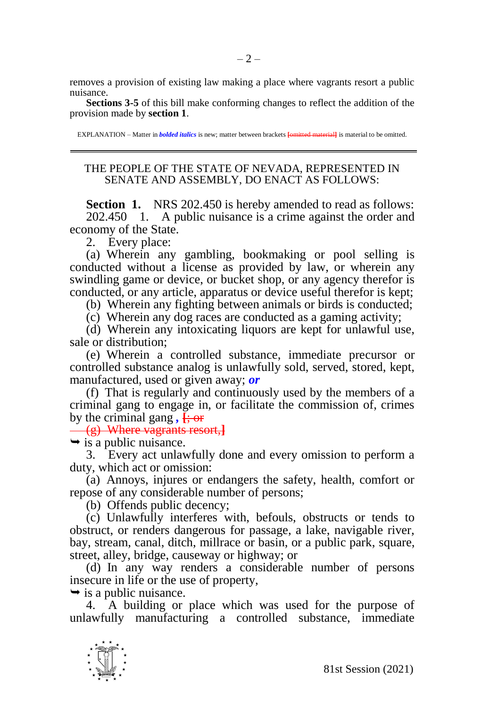removes a provision of existing law making a place where vagrants resort a public nuisance.

**Sections 3-5** of this bill make conforming changes to reflect the addition of the provision made by **section 1**.

EXPLANATION – Matter in *bolded italics* is new; matter between brackets **[**omitted material**]** is material to be omitted.

## THE PEOPLE OF THE STATE OF NEVADA, REPRESENTED IN SENATE AND ASSEMBLY, DO ENACT AS FOLLOWS:

**Section 1.** NRS 202.450 is hereby amended to read as follows: 202.450 1. A public nuisance is a crime against the order and economy of the State.

2. Every place:

(a) Wherein any gambling, bookmaking or pool selling is conducted without a license as provided by law, or wherein any swindling game or device, or bucket shop, or any agency therefor is conducted, or any article, apparatus or device useful therefor is kept;

(b) Wherein any fighting between animals or birds is conducted;

(c) Wherein any dog races are conducted as a gaming activity;

(d) Wherein any intoxicating liquors are kept for unlawful use, sale or distribution;

(e) Wherein a controlled substance, immediate precursor or controlled substance analog is unlawfully sold, served, stored, kept, manufactured, used or given away; *or*

(f) That is regularly and continuously used by the members of a criminal gang to engage in, or facilitate the commission of, crimes by the criminal gang,  $\frac{1}{2}$ 

(g) Where vagrants resort,**]**

 $\rightarrow$  is a public nuisance.

3. Every act unlawfully done and every omission to perform a duty, which act or omission:

(a) Annoys, injures or endangers the safety, health, comfort or repose of any considerable number of persons;

(b) Offends public decency;

(c) Unlawfully interferes with, befouls, obstructs or tends to obstruct, or renders dangerous for passage, a lake, navigable river, bay, stream, canal, ditch, millrace or basin, or a public park, square, street, alley, bridge, causeway or highway; or

(d) In any way renders a considerable number of persons insecure in life or the use of property,

 $\rightarrow$  is a public nuisance.

4. A building or place which was used for the purpose of unlawfully manufacturing a controlled substance, immediate

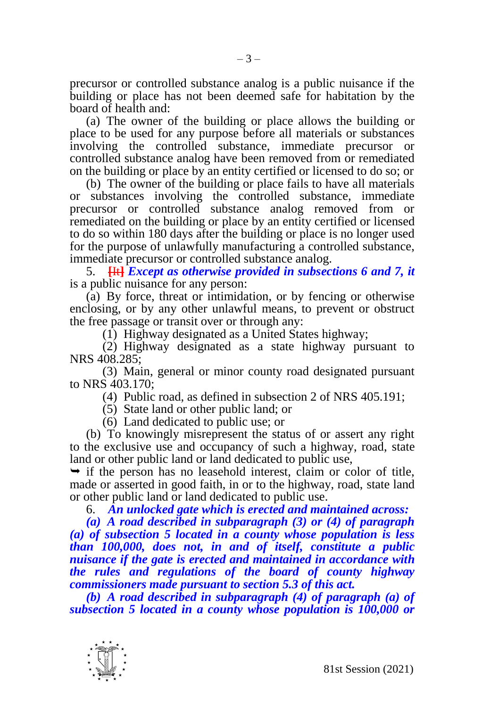precursor or controlled substance analog is a public nuisance if the building or place has not been deemed safe for habitation by the board of health and:

(a) The owner of the building or place allows the building or place to be used for any purpose before all materials or substances involving the controlled substance, immediate precursor or controlled substance analog have been removed from or remediated on the building or place by an entity certified or licensed to do so; or

(b) The owner of the building or place fails to have all materials or substances involving the controlled substance, immediate precursor or controlled substance analog removed from or remediated on the building or place by an entity certified or licensed to do so within 180 days after the building or place is no longer used for the purpose of unlawfully manufacturing a controlled substance, immediate precursor or controlled substance analog.

5. **[**It**]** *Except as otherwise provided in subsections 6 and 7, it*  is a public nuisance for any person:

(a) By force, threat or intimidation, or by fencing or otherwise enclosing, or by any other unlawful means, to prevent or obstruct the free passage or transit over or through any:

(1) Highway designated as a United States highway;

(2) Highway designated as a state highway pursuant to NRS 408.285;

(3) Main, general or minor county road designated pursuant to NRS 403.170;

(4) Public road, as defined in subsection 2 of NRS 405.191;

(5) State land or other public land; or

(6) Land dedicated to public use; or

(b) To knowingly misrepresent the status of or assert any right to the exclusive use and occupancy of such a highway, road, state land or other public land or land dedicated to public use,

 $\rightarrow$  if the person has no leasehold interest, claim or color of title, made or asserted in good faith, in or to the highway, road, state land or other public land or land dedicated to public use.

6. *An unlocked gate which is erected and maintained across:* 

*(a) A road described in subparagraph (3) or (4) of paragraph (a) of subsection 5 located in a county whose population is less than 100,000, does not, in and of itself, constitute a public nuisance if the gate is erected and maintained in accordance with the rules and regulations of the board of county highway commissioners made pursuant to section 5.3 of this act.*

*(b) A road described in subparagraph (4) of paragraph (a) of subsection 5 located in a county whose population is 100,000 or* 

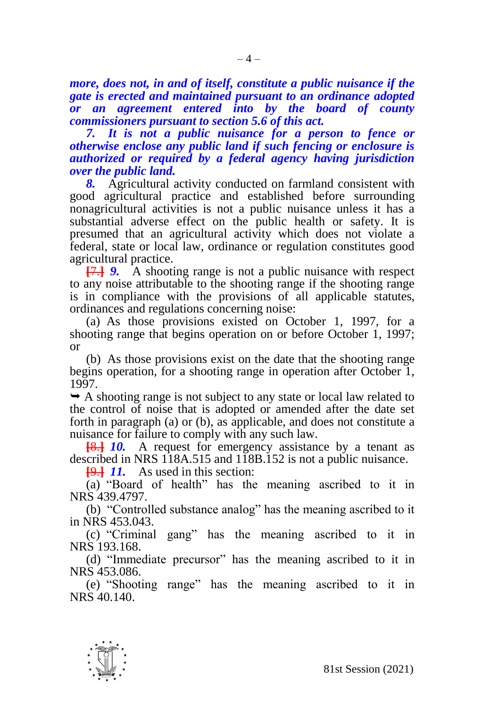*more, does not, in and of itself, constitute a public nuisance if the gate is erected and maintained pursuant to an ordinance adopted or an agreement entered into by the board of county commissioners pursuant to section 5.6 of this act.*

*7. It is not a public nuisance for a person to fence or otherwise enclose any public land if such fencing or enclosure is authorized or required by a federal agency having jurisdiction over the public land.* 

*8.* Agricultural activity conducted on farmland consistent with good agricultural practice and established before surrounding nonagricultural activities is not a public nuisance unless it has a substantial adverse effect on the public health or safety. It is presumed that an agricultural activity which does not violate a federal, state or local law, ordinance or regulation constitutes good agricultural practice.

**[**7.**]** *9.* A shooting range is not a public nuisance with respect to any noise attributable to the shooting range if the shooting range is in compliance with the provisions of all applicable statutes, ordinances and regulations concerning noise:

(a) As those provisions existed on October 1, 1997, for a shooting range that begins operation on or before October 1, 1997; or

(b) As those provisions exist on the date that the shooting range begins operation, for a shooting range in operation after October 1, 1997.

 $\rightarrow$  A shooting range is not subject to any state or local law related to the control of noise that is adopted or amended after the date set forth in paragraph (a) or (b), as applicable, and does not constitute a nuisance for failure to comply with any such law.

**[**8.**]** *10.* A request for emergency assistance by a tenant as described in NRS 118A.515 and 118B.152 is not a public nuisance.

**[**9.**]** *11.* As used in this section:

(a) "Board of health" has the meaning ascribed to it in NRS 439.4797.

(b) "Controlled substance analog" has the meaning ascribed to it in NRS 453.043.

(c) "Criminal gang" has the meaning ascribed to it in NRS 193.168.

(d) "Immediate precursor" has the meaning ascribed to it in NRS 453.086.

(e) "Shooting range" has the meaning ascribed to it in NRS 40.140.

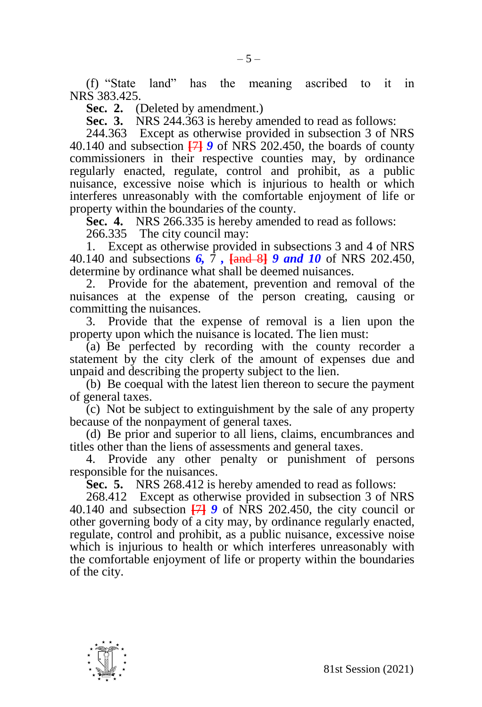(f) "State land" has the meaning ascribed to it in NRS 383.425.

**Sec. 2.** (Deleted by amendment.)

**Sec. 3.** NRS 244.363 is hereby amended to read as follows:

244.363 Except as otherwise provided in subsection 3 of NRS 40.140 and subsection **[**7**]** *9* of NRS 202.450, the boards of county commissioners in their respective counties may, by ordinance regularly enacted, regulate, control and prohibit, as a public nuisance, excessive noise which is injurious to health or which interferes unreasonably with the comfortable enjoyment of life or property within the boundaries of the county.

**Sec. 4.** NRS 266.335 is hereby amended to read as follows:

266.335 The city council may:

1. Except as otherwise provided in subsections 3 and 4 of NRS 40.140 and subsections *6,* 7 *,* **[**and 8**]** *9 and 10* of NRS 202.450, determine by ordinance what shall be deemed nuisances.

2. Provide for the abatement, prevention and removal of the nuisances at the expense of the person creating, causing or committing the nuisances.

3. Provide that the expense of removal is a lien upon the property upon which the nuisance is located. The lien must:

 $(a)$  Be perfected by recording with the county recorder a statement by the city clerk of the amount of expenses due and unpaid and describing the property subject to the lien.

(b) Be coequal with the latest lien thereon to secure the payment of general taxes.

(c) Not be subject to extinguishment by the sale of any property because of the nonpayment of general taxes.

(d) Be prior and superior to all liens, claims, encumbrances and titles other than the liens of assessments and general taxes.

4. Provide any other penalty or punishment of persons responsible for the nuisances.

**Sec. 5.** NRS 268.412 is hereby amended to read as follows:

268.412 Except as otherwise provided in subsection 3 of NRS 40.140 and subsection **[**7**]** *9* of NRS 202.450, the city council or other governing body of a city may, by ordinance regularly enacted, regulate, control and prohibit, as a public nuisance, excessive noise which is injurious to health or which interferes unreasonably with the comfortable enjoyment of life or property within the boundaries of the city.